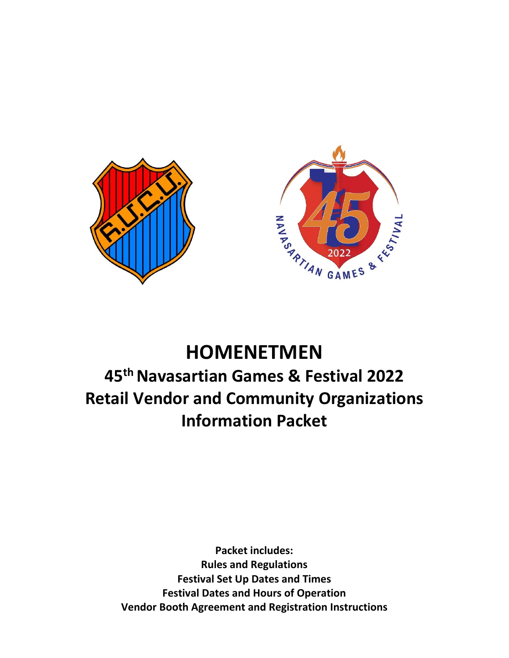

## **HOMENETMEN**

# **45th Navasartian Games & Festival 2022 Retail Vendor and Community Organizations Information Packet**

**Packet includes: Rules and Regulations Festival Set Up Dates and Times Festival Dates and Hours of Operation Vendor Booth Agreement and Registration Instructions**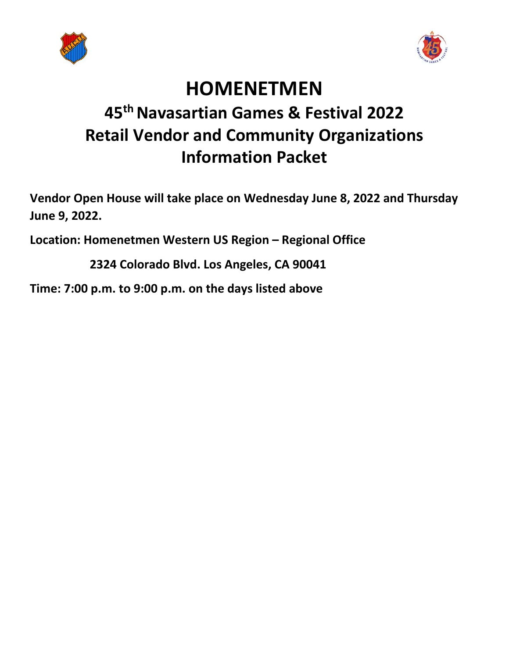



# **HOMENETMEN**

# **45th Navasartian Games & Festival 2022 Retail Vendor and Community Organizations Information Packet**

**Vendor Open House will take place on Wednesday June 8, 2022 and Thursday**  June 9, 2022.

**Location: Homenetmen Western US Region – Regional Office** 

 **2324 Colorado Blvd. Los Angeles, CA 90041** 

**Time: 7:00 p.m. to 9:00 p.m. on the days listed above**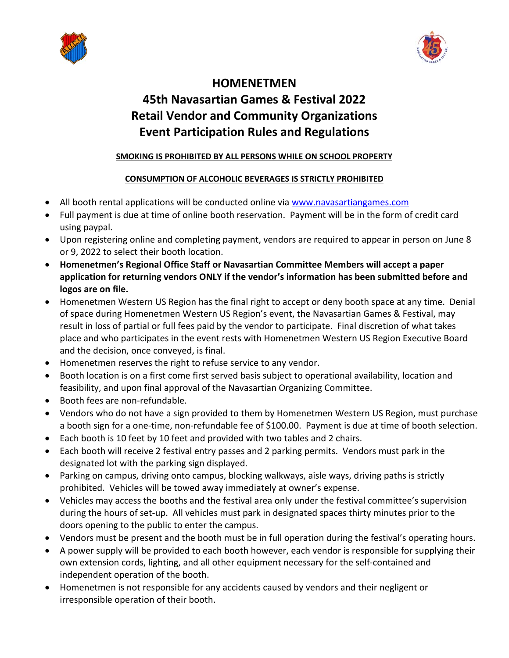



### **HOMENETMEN 45th Navasartian Games & Festival 2022 Retail Vendor and Community Organizations Event Participation Rules and Regulations**

#### **SMOKING IS PROHIBITED BY ALL PERSONS WHILE ON SCHOOL PROPERTY**

#### **CONSUMPTION OF ALCOHOLIC BEVERAGES IS STRICTLY PROHIBITED**

- All booth rental applications will be conducted online via www.navasartiangames.com
- Full payment is due at time of online booth reservation. Payment will be in the form of credit card using paypal.
- Upon registering online and completing payment, vendors are required to appear in person on June 8 or 9, 2022 to select their booth location.
- **Homenetmen's Regional Office Staff or Navasartian Committee Members will accept a paper application for returning vendors ONLY if the vendor's information has been submitted before and logos are on file.**
- Homenetmen Western US Region has the final right to accept or deny booth space at any time. Denial of space during Homenetmen Western US Region's event, the Navasartian Games & Festival, may result in loss of partial or full fees paid by the vendor to participate. Final discretion of what takes place and who participates in the event rests with Homenetmen Western US Region Executive Board and the decision, once conveyed, is final.
- Homenetmen reserves the right to refuse service to any vendor.
- Booth location is on a first come first served basis subject to operational availability, location and feasibility, and upon final approval of the Navasartian Organizing Committee.
- Booth fees are non-refundable.
- Vendors who do not have a sign provided to them by Homenetmen Western US Region, must purchase a booth sign for a one‐time, non‐refundable fee of \$100.00. Payment is due at time of booth selection.
- Each booth is 10 feet by 10 feet and provided with two tables and 2 chairs.
- Each booth will receive 2 festival entry passes and 2 parking permits. Vendors must park in the designated lot with the parking sign displayed.
- Parking on campus, driving onto campus, blocking walkways, aisle ways, driving paths is strictly prohibited. Vehicles will be towed away immediately at owner's expense.
- Vehicles may access the booths and the festival area only under the festival committee's supervision during the hours of set‐up. All vehicles must park in designated spaces thirty minutes prior to the doors opening to the public to enter the campus.
- Vendors must be present and the booth must be in full operation during the festival's operating hours.
- A power supply will be provided to each booth however, each vendor is responsible for supplying their own extension cords, lighting, and all other equipment necessary for the self‐contained and independent operation of the booth.
- Homenetmen is not responsible for any accidents caused by vendors and their negligent or irresponsible operation of their booth.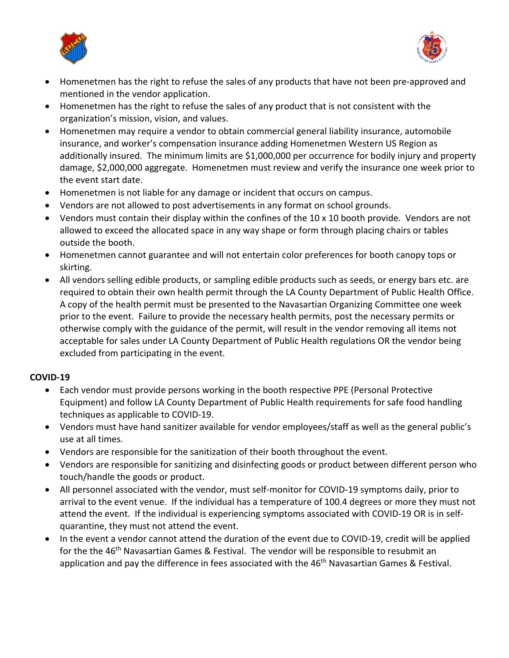



- Homenetmen has the right to refuse the sales of any products that have not been pre-approved and mentioned in the vendor application.
- Homenetmen has the right to refuse the sales of any product that is not consistent with the organization's mission, vision, and values.
- Homenetmen may require a vendor to obtain commercial general liability insurance, automobile insurance, and worker's compensation insurance adding Homenetmen Western US Region as additionally insured. The minimum limits are \$1,000,000 per occurrence for bodily injury and property damage, \$2,000,000 aggregate. Homenetmen must review and verify the insurance one week prior to the event start date.
- Homenetmen is not liable for any damage or incident that occurs on campus.
- Vendors are not allowed to post advertisements in any format on school grounds.
- Vendors must contain their display within the confines of the 10 x 10 booth provide. Vendors are not allowed to exceed the allocated space in any way shape or form through placing chairs or tables outside the booth.
- Homenetmen cannot guarantee and will not entertain color preferences for booth canopy tops or skirting.
- All vendors selling edible products, or sampling edible products such as seeds, or energy bars etc. are required to obtain their own health permit through the LA County Department of Public Health Office. A copy of the health permit must be presented to the Navasartian Organizing Committee one week prior to the event. Failure to provide the necessary health permits, post the necessary permits or otherwise comply with the guidance of the permit, will result in the vendor removing all items not acceptable for sales under LA County Department of Public Health regulations OR the vendor being excluded from participating in the event.

#### **COVID‐19**

- Each vendor must provide persons working in the booth respective PPE (Personal Protective Equipment) and follow LA County Department of Public Health requirements for safe food handling techniques as applicable to COVID‐19.
- Vendors must have hand sanitizer available for vendor employees/staff as well as the general public's use at all times.
- Vendors are responsible for the sanitization of their booth throughout the event.
- Vendors are responsible for sanitizing and disinfecting goods or product between different person who touch/handle the goods or product.
- All personnel associated with the vendor, must self‐monitor for COVID‐19 symptoms daily, prior to arrival to the event venue. If the individual has a temperature of 100.4 degrees or more they must not attend the event. If the individual is experiencing symptoms associated with COVID‐19 OR is in self‐ quarantine, they must not attend the event.
- In the event a vendor cannot attend the duration of the event due to COVID-19, credit will be applied for the the 46<sup>th</sup> Navasartian Games & Festival. The vendor will be responsible to resubmit an application and pay the difference in fees associated with the 46<sup>th</sup> Navasartian Games & Festival.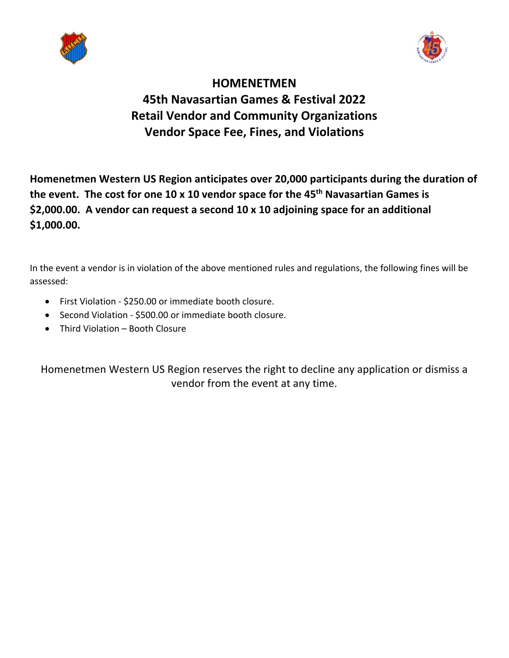



### **HOMENETMEN 45th Navasartian Games & Festival 2022 Retail Vendor and Community Organizations Vendor Space Fee, Fines, and Violations**

**Homenetmen Western US Region anticipates over 20,000 participants during the duration of**  the event. The cost for one 10 x 10 vendor space for the 45<sup>th</sup> Navasartian Games is **\$2,000.00. A vendor can request a second 10 x 10 adjoining space for an additional \$1,000.00.** 

In the event a vendor is in violation of the above mentioned rules and regulations, the following fines will be assessed:

- First Violation ‐ \$250.00 or immediate booth closure.
- Second Violation \$500.00 or immediate booth closure.
- Third Violation Booth Closure

Homenetmen Western US Region reserves the right to decline any application or dismiss a vendor from the event at any time.